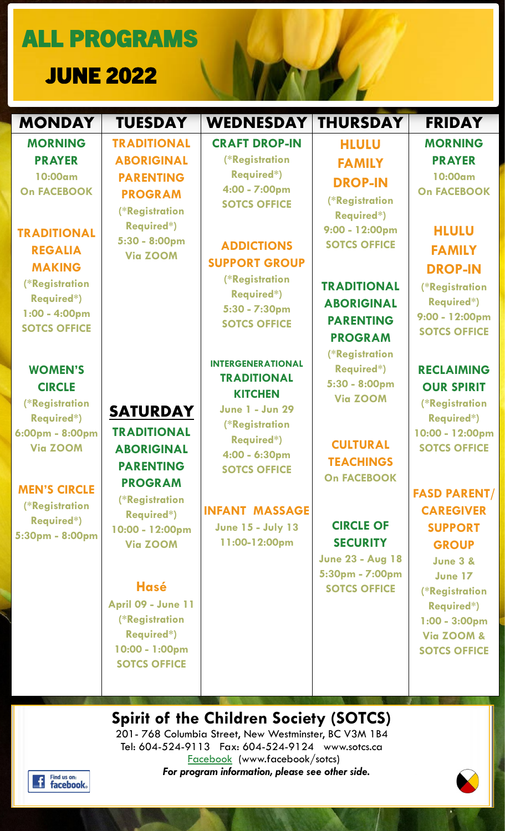ALL PROGRAMS

JUNE 2022

| <b>MONDAY</b>                                                                                                                                                                                        | <b>TUESDAY</b>                                                                                                                                                                                                                                                                                     | <b>WEDNESDAY</b>                                                                                                                                                                                                                         | <b>THURSDAY</b>                                                                                                                                                                                                                           | <b>FRIDAY</b>                                                                                                                                                                                                                                                                                                                   |
|------------------------------------------------------------------------------------------------------------------------------------------------------------------------------------------------------|----------------------------------------------------------------------------------------------------------------------------------------------------------------------------------------------------------------------------------------------------------------------------------------------------|------------------------------------------------------------------------------------------------------------------------------------------------------------------------------------------------------------------------------------------|-------------------------------------------------------------------------------------------------------------------------------------------------------------------------------------------------------------------------------------------|---------------------------------------------------------------------------------------------------------------------------------------------------------------------------------------------------------------------------------------------------------------------------------------------------------------------------------|
| <b>MORNING</b><br><b>PRAYER</b><br>10:00am<br><b>On FACEBOOK</b><br><b>TRADITIONAL</b><br><b>REGALIA</b><br><b>MAKING</b><br>(*Registration<br>Required*)<br>$1:00 - 4:00$ pm<br><b>SOTCS OFFICE</b> | <b>TRADITIONAL</b><br><b>ABORIGINAL</b><br><b>PARENTING</b><br><b>PROGRAM</b><br>(*Registration<br><b>Required*)</b><br>5:30 - 8:00pm<br><b>Via ZOOM</b>                                                                                                                                           | <b>CRAFT DROP-IN</b><br>(*Registration<br><b>Required*)</b><br>4:00 - 7:00pm<br><b>SOTCS OFFICE</b><br><b>ADDICTIONS</b><br><b>SUPPORT GROUP</b><br>(*Registration<br>Required*)<br>5:30 - 7:30pm<br><b>SOTCS OFFICE</b>                 | <b>HLULU</b><br><b>FAMILY</b><br><b>DROP-IN</b><br>(*Registration<br>Required*)<br>9:00 - 12:00pm<br><b>SOTCS OFFICE</b><br><b>TRADITIONAL</b><br><b>ABORIGINAL</b><br><b>PARENTING</b><br><b>PROGRAM</b>                                 | <b>MORNING</b><br><b>PRAYER</b><br>10:00am<br><b>On FACEBOOK</b><br><b>HLULU</b><br><b>FAMILY</b><br><b>DROP-IN</b><br>(*Registration<br>Required*)<br>9:00 - 12:00pm<br><b>SOTCS OFFICE</b>                                                                                                                                    |
| <b>WOMEN'S</b><br><b>CIRCLE</b><br>(*Registration<br>Required*)<br>6:00pm - 8:00pm<br><b>Via ZOOM</b><br><b>MEN'S CIRCLE</b><br>(*Registration<br>Required*)<br>5:30pm - 8:00pm                      | <b>SATURDAY</b><br><b>TRADITIONAL</b><br><b>ABORIGINAL</b><br><b>PARENTING</b><br><b>PROGRAM</b><br>(*Registration<br><b>Required*)</b><br>10:00 - 12:00pm<br><b>Via ZOOM</b><br><b>Hasé</b><br><b>April 09 - June 11</b><br>(*Registration<br>Required*)<br>10:00 - 1:00pm<br><b>SOTCS OFFICE</b> | <b>INTERGENERATIONAL</b><br><b>TRADITIONAL</b><br><b>KITCHEN</b><br><b>June 1 - Jun 29</b><br>(*Registration<br>Required*)<br>4:00 - 6:30pm<br><b>SOTCS OFFICE</b><br><b>INFANT MASSAGE</b><br><b>June 15 - July 13</b><br>11:00-12:00pm | (*Registration<br>Required*)<br>5:30 - 8:00pm<br><b>Via ZOOM</b><br><b>CULTURAL</b><br><b>TEACHINGS</b><br><b>On FACEBOOK</b><br><b>CIRCLE OF</b><br><b>SECURITY</b><br><b>June 23 - Aug 18</b><br>5:30pm - 7:00pm<br><b>SOTCS OFFICE</b> | <b>RECLAIMING</b><br><b>OUR SPIRIT</b><br>(*Registration<br>Required*)<br>10:00 - 12:00pm<br><b>SOTCS OFFICE</b><br><b>FASD PARENT/</b><br><b>CAREGIVER</b><br><b>SUPPORT</b><br><b>GROUP</b><br><b>June 3 &amp;</b><br><b>June 17</b><br>(*Registration<br>Required*)<br>$1:00 - 3:00$ pm<br>Via ZOOM &<br><b>SOTCS OFFICE</b> |

**Spirit of the Children Society (SOTCS)** 201- 768 Columbia Street, New Westminster, BC V3M 1B4

Tel: 604-524-9113 Fax: 604-524-9124 www.sotcs.ca [Facebook](https://www.facebook.com/sotcs/) (www.facebook/sotcs) *For program information, please see other side. .*